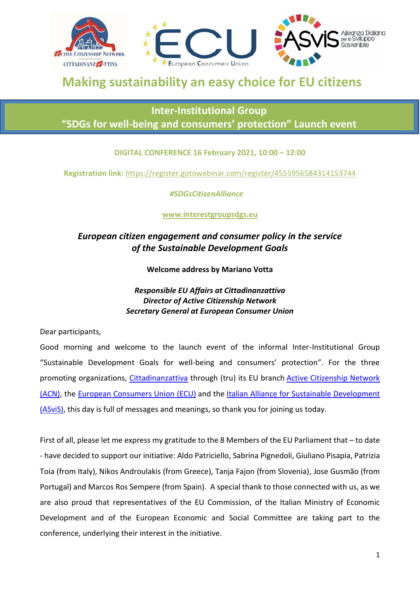

# **Making sustainability an easy choice for EU citizens**

## **Inter-Institutional Group "SDGs for well-being and consumers' protection" Launch event**

#### **DIGITAL CONFERENCE 16 February 2021, 10:00 – 12:00**

**Registration link:** <https://register.gotowebinar.com/register/4555956584314153744>

 *#SDGsCitizenAlliance*

**www.interestgroupsdgs.eu**

### *European citizen engagement and consumer policy in the service of the Sustainable Development Goals*

**Welcome address by Mariano Votta**

#### *Responsible EU Affairs at Cittadinanzattiva Director of Active Citizenship Network Secretary General at European Consumer Union*

Dear participants,

Good morning and welcome to the launch event of the informal Inter-Institutional Group "Sustainable Development Goals for well-being and consumers' protection". For the three promoting organizations, [Cittadinanzattiva](https://www.cittadinanzattiva.it/) through (tru) its EU branch [Active Citizenship Network](https://urldefense.com/v3/__http:/www.activecitizenship.net/__;!!DOxrgLBm!QTY5RRiD_1jFdg4dSWm1PJsMsB76XO7RtW_BISACHjB3VLpKuRgVFGNs-vgsAcofMAfC$)  [\(ACN\),](https://urldefense.com/v3/__http:/www.activecitizenship.net/__;!!DOxrgLBm!QTY5RRiD_1jFdg4dSWm1PJsMsB76XO7RtW_BISACHjB3VLpKuRgVFGNs-vgsAcofMAfC$) the [European Consumers Union \(ECU\)](https://urldefense.com/v3/__https:/europeanconsumersunion.eu/?lang=en__;!!DOxrgLBm!QTY5RRiD_1jFdg4dSWm1PJsMsB76XO7RtW_BISACHjB3VLpKuRgVFGNs-vgsAd4YGAB1$) and the [Italian Alliance for Sustainable Development](https://urldefense.com/v3/__https:/asvis.it/who-we-are/__;!!DOxrgLBm!QTY5RRiD_1jFdg4dSWm1PJsMsB76XO7RtW_BISACHjB3VLpKuRgVFGNs-vgsAfeuRijO$)  [\(ASviS\),](https://urldefense.com/v3/__https:/asvis.it/who-we-are/__;!!DOxrgLBm!QTY5RRiD_1jFdg4dSWm1PJsMsB76XO7RtW_BISACHjB3VLpKuRgVFGNs-vgsAfeuRijO$) this day is full of messages and meanings, so thank you for joining us today.

First of all, please let me express my gratitude to the 8 Members of the EU Parliament that – to date - have decided to support our initiative: Aldo Patriciello, Sabrina Pignedoli, Giuliano Pisapia, Patrizia Toia (from Italy), Nikos Androulakis (from Greece), Tanja Fajon (from Slovenia), Jose Gusmão (from Portugal) and Marcos Ros Sempere (from Spain). A special thank to those connected with us, as we are also proud that representatives of the EU Commission, of the Italian Ministry of Economic Development and of the European Economic and Social Committee are taking part to the conference, underlying their interest in the initiative.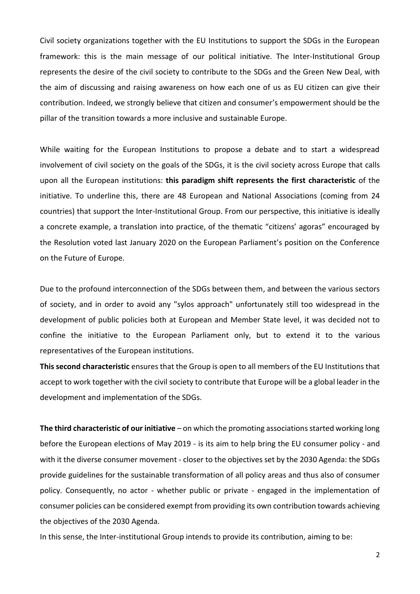Civil society organizations together with the EU Institutions to support the SDGs in the European framework: this is the main message of our political initiative. The Inter-Institutional Group represents the desire of the civil society to contribute to the SDGs and the Green New Deal, with the aim of discussing and raising awareness on how each one of us as EU citizen can give their contribution. Indeed, we strongly believe that citizen and consumer's empowerment should be the pillar of the transition towards a more inclusive and sustainable Europe.

While waiting for the European Institutions to propose a debate and to start a widespread involvement of civil society on the goals of the SDGs, it is the civil society across Europe that calls upon all the European institutions: **this paradigm shift represents the first characteristic** of the initiative. To underline this, there are 48 European and National Associations (coming from 24 countries) that support the Inter-Institutional Group. From our perspective, this initiative is ideally a concrete example, a translation into practice, of the thematic "citizens' agoras" encouraged by the Resolution voted last January 2020 on the European Parliament's position on the Conference on the Future of Europe.

Due to the profound interconnection of the SDGs between them, and between the various sectors of society, and in order to avoid any "sylos approach" unfortunately still too widespread in the development of public policies both at European and Member State level, it was decided not to confine the initiative to the European Parliament only, but to extend it to the various representatives of the European institutions.

**This second characteristic** ensures that the Group is open to all members of the EU Institutions that accept to work together with the civil society to contribute that Europe will be a global leader in the development and implementation of the SDGs.

**The third characteristic of our initiative** – on which the promoting associations started working long before the European elections of May 2019 - is its aim to help bring the EU consumer policy - and with it the diverse consumer movement - closer to the objectives set by the 2030 Agenda: the SDGs provide guidelines for the sustainable transformation of all policy areas and thus also of consumer policy. Consequently, no actor - whether public or private - engaged in the implementation of consumer policies can be considered exempt from providing its own contribution towards achieving the objectives of the 2030 Agenda.

In this sense, the Inter-institutional Group intends to provide its contribution, aiming to be:

2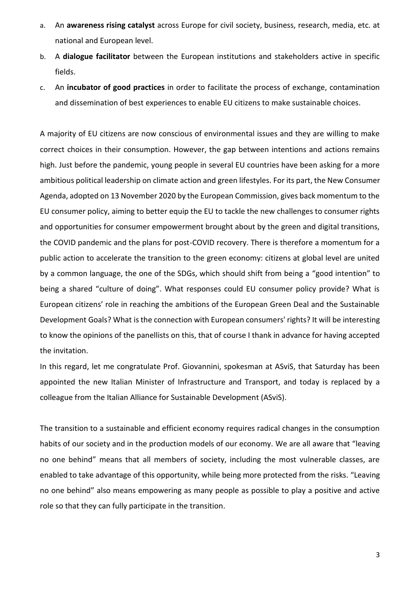- a. An **awareness rising catalyst** across Europe for civil society, business, research, media, etc. at national and European level.
- b. A **dialogue facilitator** between the European institutions and stakeholders active in specific fields.
- c. An **incubator of good practices** in order to facilitate the process of exchange, contamination and dissemination of best experiences to enable EU citizens to make sustainable choices.

A majority of EU citizens are now conscious of environmental issues and they are willing to make correct choices in their consumption. However, the gap between intentions and actions remains high. Just before the pandemic, young people in several EU countries have been asking for a more ambitious political leadership on climate action and green lifestyles. For its part, the New Consumer Agenda, adopted on 13 November 2020 by the European Commission, gives back momentum to the EU consumer policy, aiming to better equip the EU to tackle the new challenges to consumer rights and opportunities for consumer empowerment brought about by the green and digital transitions, the COVID pandemic and the plans for post-COVID recovery. There is therefore a momentum for a public action to accelerate the transition to the green economy: citizens at global level are united by a common language, the one of the SDGs, which should shift from being a "good intention" to being a shared "culture of doing". What responses could EU consumer policy provide? What is European citizens' role in reaching the ambitions of the European Green Deal and the Sustainable Development Goals? What is the connection with European consumers' rights? It will be interesting to know the opinions of the panellists on this, that of course I thank in advance for having accepted the invitation.

In this regard, let me congratulate Prof. Giovannini, spokesman at ASviS, that Saturday has been appointed the new Italian Minister of Infrastructure and Transport, and today is replaced by a colleague from the [Italian Alliance for Sustainable Development \(ASviS\).](https://urldefense.com/v3/__https:/asvis.it/who-we-are/__;!!DOxrgLBm!QTY5RRiD_1jFdg4dSWm1PJsMsB76XO7RtW_BISACHjB3VLpKuRgVFGNs-vgsAfeuRijO$)

The transition to a sustainable and efficient economy requires radical changes in the consumption habits of our society and in the production models of our economy. We are all aware that "leaving no one behind" means that all members of society, including the most vulnerable classes, are enabled to take advantage of this opportunity, while being more protected from the risks. "Leaving no one behind" also means empowering as many people as possible to play a positive and active role so that they can fully participate in the transition.